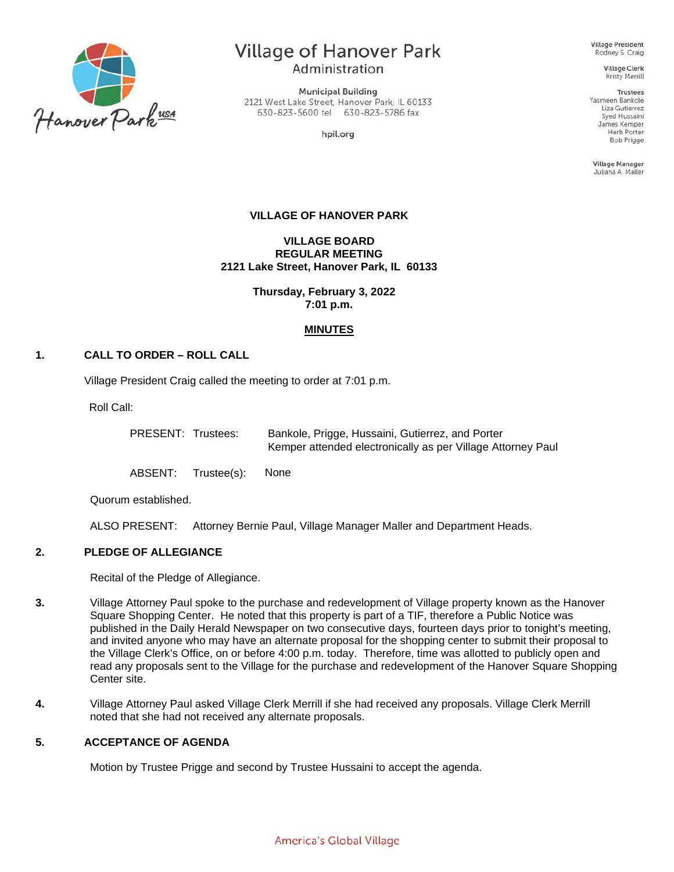

# Village of Hanover Park Administration

**Municipal Building** 2121 West Lake Street, Hanover Park, IL 60133 630-823-5600 tel 630-823-5786 fax

hpil.org

**Village President** Rodney S. Craig

> **Village Clerk Kristy Merrill**

Trustees Yasmeen Bankole Liza Gutierrez Syed Hussaini James Kemper Herb Porter **Bob Prigge** 

**Village Manager** Juliana A. Maller

## **VILLAGE OF HANOVER PARK**

**VILLAGE BOARD REGULAR MEETING 2121 Lake Street, Hanover Park, IL 60133**

> **Thursday, February 3, 2022 7:01 p.m.**

## **MINUTES**

# **1. CALL TO ORDER – ROLL CALL**

Village President Craig called the meeting to order at 7:01 p.m.

Roll Call:

PRESENT: Trustees: Bankole, Prigge, Hussaini, Gutierrez, and Porter Kemper attended electronically as per Village Attorney Paul

ABSENT: Trustee(s): None

Quorum established.

ALSO PRESENT: Attorney Bernie Paul, Village Manager Maller and Department Heads.

# **2. PLEDGE OF ALLEGIANCE**

Recital of the Pledge of Allegiance.

- **3.** Village Attorney Paul spoke to the purchase and redevelopment of Village property known as the Hanover Square Shopping Center. He noted that this property is part of a TIF, therefore a Public Notice was published in the Daily Herald Newspaper on two consecutive days, fourteen days prior to tonight's meeting, and invited anyone who may have an alternate proposal for the shopping center to submit their proposal to the Village Clerk's Office, on or before 4:00 p.m. today. Therefore, time was allotted to publicly open and read any proposals sent to the Village for the purchase and redevelopment of the Hanover Square Shopping Center site.
- **4.** Village Attorney Paul asked Village Clerk Merrill if she had received any proposals. Village Clerk Merrill noted that she had not received any alternate proposals.

## **5. ACCEPTANCE OF AGENDA**

Motion by Trustee Prigge and second by Trustee Hussaini to accept the agenda.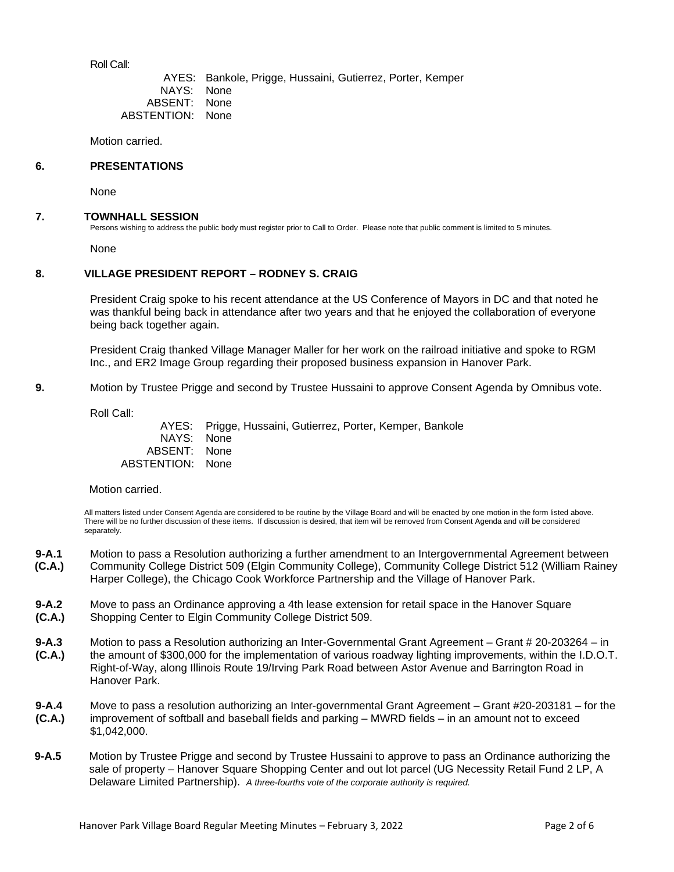Roll Call:

AYES: Bankole, Prigge, Hussaini, Gutierrez, Porter, Kemper NAYS: None<br>SSENT: None ABSENT: ABSTENTION: None

Motion carried.

#### **6. PRESENTATIONS**

None

#### **7. TOWNHALL SESSION**

Persons wishing to address the public body must register prior to Call to Order. Please note that public comment is limited to 5 minutes.

None

## **8. VILLAGE PRESIDENT REPORT – RODNEY S. CRAIG**

President Craig spoke to his recent attendance at the US Conference of Mayors in DC and that noted he was thankful being back in attendance after two years and that he enjoyed the collaboration of everyone being back together again.

President Craig thanked Village Manager Maller for her work on the railroad initiative and spoke to RGM Inc., and ER2 Image Group regarding their proposed business expansion in Hanover Park.

**9.** Motion by Trustee Prigge and second by Trustee Hussaini to approve Consent Agenda by Omnibus vote.

Roll Call:

AYES: Prigge, Hussaini, Gutierrez, Porter, Kemper, Bankole NAYS: None ABSENT: None ABSTENTION: None

#### Motion carried.

All matters listed under Consent Agenda are considered to be routine by the Village Board and will be enacted by one motion in the form listed above. There will be no further discussion of these items. If discussion is desired, that item will be removed from Consent Agenda and will be considered separately.

- **9-A.1 (C.A.)** Motion to pass a Resolution authorizing a further amendment to an Intergovernmental Agreement between Community College District 509 (Elgin Community College), Community College District 512 (William Rainey Harper College), the Chicago Cook Workforce Partnership and the Village of Hanover Park.
- **9-A.2 (C.A.)** Move to pass an Ordinance approving a 4th lease extension for retail space in the Hanover Square Shopping Center to Elgin Community College District 509.
- **9-A.3 (C.A.)** Motion to pass a Resolution authorizing an Inter-Governmental Grant Agreement – Grant # 20-203264 – in the amount of \$300,000 for the implementation of various roadway lighting improvements, within the I.D.O.T. Right-of-Way, along Illinois Route 19/Irving Park Road between Astor Avenue and Barrington Road in Hanover Park.
- **9-A.4 (C.A.)** Move to pass a resolution authorizing an Inter-governmental Grant Agreement – Grant #20-203181 – for the improvement of softball and baseball fields and parking – MWRD fields – in an amount not to exceed \$1,042,000.
- **9-A.5** Motion by Trustee Prigge and second by Trustee Hussaini to approve to pass an Ordinance authorizing the sale of property – Hanover Square Shopping Center and out lot parcel (UG Necessity Retail Fund 2 LP, A Delaware Limited Partnership). *A three-fourths vote of the corporate authority is required.*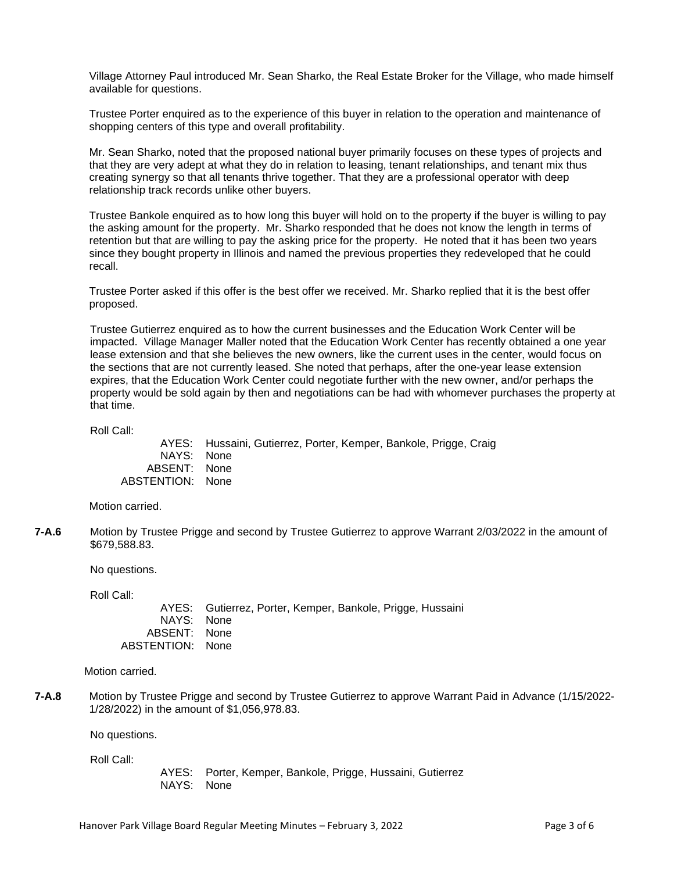Village Attorney Paul introduced Mr. Sean Sharko, the Real Estate Broker for the Village, who made himself available for questions.

Trustee Porter enquired as to the experience of this buyer in relation to the operation and maintenance of shopping centers of this type and overall profitability.

Mr. Sean Sharko, noted that the proposed national buyer primarily focuses on these types of projects and that they are very adept at what they do in relation to leasing, tenant relationships, and tenant mix thus creating synergy so that all tenants thrive together. That they are a professional operator with deep relationship track records unlike other buyers.

Trustee Bankole enquired as to how long this buyer will hold on to the property if the buyer is willing to pay the asking amount for the property. Mr. Sharko responded that he does not know the length in terms of retention but that are willing to pay the asking price for the property. He noted that it has been two years since they bought property in Illinois and named the previous properties they redeveloped that he could recall.

Trustee Porter asked if this offer is the best offer we received. Mr. Sharko replied that it is the best offer proposed.

Trustee Gutierrez enquired as to how the current businesses and the Education Work Center will be impacted. Village Manager Maller noted that the Education Work Center has recently obtained a one year lease extension and that she believes the new owners, like the current uses in the center, would focus on the sections that are not currently leased. She noted that perhaps, after the one-year lease extension expires, that the Education Work Center could negotiate further with the new owner, and/or perhaps the property would be sold again by then and negotiations can be had with whomever purchases the property at that time.

Roll Call:

AYES: Hussaini, Gutierrez, Porter, Kemper, Bankole, Prigge, Craig NAYS: None ABSENT: None ABSTENTION: None

Motion carried.

**7-A.6** Motion by Trustee Prigge and second by Trustee Gutierrez to approve Warrant 2/03/2022 in the amount of \$679,588.83.

No questions.

Roll Call:

AYES: Gutierrez, Porter, Kemper, Bankole, Prigge, Hussaini NAYS: None ABSENT: None ABSTENTION: None

Motion carried.

**7-A.8** Motion by Trustee Prigge and second by Trustee Gutierrez to approve Warrant Paid in Advance (1/15/2022- 1/28/2022) in the amount of \$1,056,978.83.

No questions.

Roll Call:

AYES: Porter, Kemper, Bankole, Prigge, Hussaini, Gutierrez NAYS: None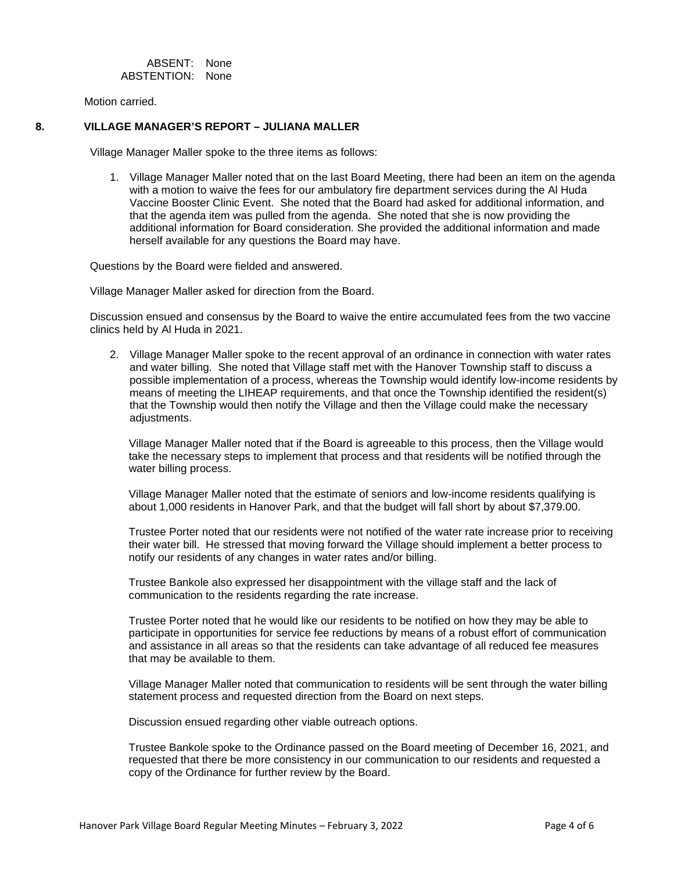ABSENT: None ABSTENTION: None

Motion carried.

# **8. VILLAGE MANAGER'S REPORT – JULIANA MALLER**

Village Manager Maller spoke to the three items as follows:

1. Village Manager Maller noted that on the last Board Meeting, there had been an item on the agenda with a motion to waive the fees for our ambulatory fire department services during the Al Huda Vaccine Booster Clinic Event. She noted that the Board had asked for additional information, and that the agenda item was pulled from the agenda. She noted that she is now providing the additional information for Board consideration. She provided the additional information and made herself available for any questions the Board may have.

Questions by the Board were fielded and answered.

Village Manager Maller asked for direction from the Board.

Discussion ensued and consensus by the Board to waive the entire accumulated fees from the two vaccine clinics held by Al Huda in 2021.

2. Village Manager Maller spoke to the recent approval of an ordinance in connection with water rates and water billing. She noted that Village staff met with the Hanover Township staff to discuss a possible implementation of a process, whereas the Township would identify low-income residents by means of meeting the LIHEAP requirements, and that once the Township identified the resident(s) that the Township would then notify the Village and then the Village could make the necessary adjustments.

Village Manager Maller noted that if the Board is agreeable to this process, then the Village would take the necessary steps to implement that process and that residents will be notified through the water billing process.

Village Manager Maller noted that the estimate of seniors and low-income residents qualifying is about 1,000 residents in Hanover Park, and that the budget will fall short by about \$7,379.00.

Trustee Porter noted that our residents were not notified of the water rate increase prior to receiving their water bill. He stressed that moving forward the Village should implement a better process to notify our residents of any changes in water rates and/or billing.

Trustee Bankole also expressed her disappointment with the village staff and the lack of communication to the residents regarding the rate increase.

Trustee Porter noted that he would like our residents to be notified on how they may be able to participate in opportunities for service fee reductions by means of a robust effort of communication and assistance in all areas so that the residents can take advantage of all reduced fee measures that may be available to them.

Village Manager Maller noted that communication to residents will be sent through the water billing statement process and requested direction from the Board on next steps.

Discussion ensued regarding other viable outreach options.

Trustee Bankole spoke to the Ordinance passed on the Board meeting of December 16, 2021, and requested that there be more consistency in our communication to our residents and requested a copy of the Ordinance for further review by the Board.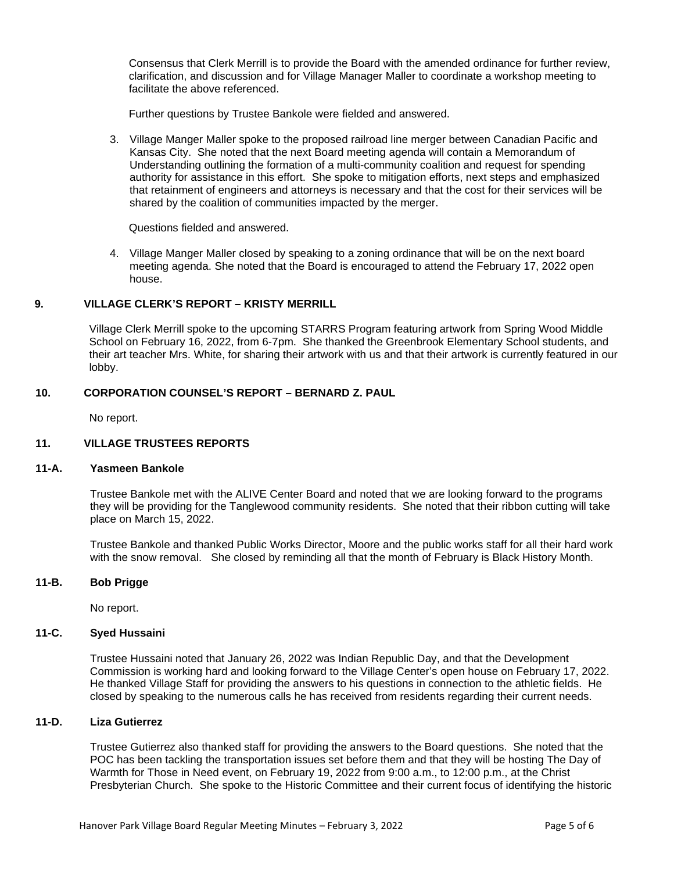Consensus that Clerk Merrill is to provide the Board with the amended ordinance for further review, clarification, and discussion and for Village Manager Maller to coordinate a workshop meeting to facilitate the above referenced.

Further questions by Trustee Bankole were fielded and answered.

3. Village Manger Maller spoke to the proposed railroad line merger between Canadian Pacific and Kansas City. She noted that the next Board meeting agenda will contain a Memorandum of Understanding outlining the formation of a multi-community coalition and request for spending authority for assistance in this effort. She spoke to mitigation efforts, next steps and emphasized that retainment of engineers and attorneys is necessary and that the cost for their services will be shared by the coalition of communities impacted by the merger.

Questions fielded and answered.

4. Village Manger Maller closed by speaking to a zoning ordinance that will be on the next board meeting agenda. She noted that the Board is encouraged to attend the February 17, 2022 open house.

## **9. VILLAGE CLERK'S REPORT – KRISTY MERRILL**

Village Clerk Merrill spoke to the upcoming STARRS Program featuring artwork from Spring Wood Middle School on February 16, 2022, from 6-7pm. She thanked the Greenbrook Elementary School students, and their art teacher Mrs. White, for sharing their artwork with us and that their artwork is currently featured in our lobby.

## **10. CORPORATION COUNSEL'S REPORT – BERNARD Z. PAUL**

No report.

# **11. VILLAGE TRUSTEES REPORTS**

#### **11-A. Yasmeen Bankole**

Trustee Bankole met with the ALIVE Center Board and noted that we are looking forward to the programs they will be providing for the Tanglewood community residents. She noted that their ribbon cutting will take place on March 15, 2022.

Trustee Bankole and thanked Public Works Director, Moore and the public works staff for all their hard work with the snow removal. She closed by reminding all that the month of February is Black History Month.

## **11-B. Bob Prigge**

No report.

## **11-C. Syed Hussaini**

Trustee Hussaini noted that January 26, 2022 was Indian Republic Day, and that the Development Commission is working hard and looking forward to the Village Center's open house on February 17, 2022. He thanked Village Staff for providing the answers to his questions in connection to the athletic fields. He closed by speaking to the numerous calls he has received from residents regarding their current needs.

#### **11-D. Liza Gutierrez**

Trustee Gutierrez also thanked staff for providing the answers to the Board questions. She noted that the POC has been tackling the transportation issues set before them and that they will be hosting The Day of Warmth for Those in Need event, on February 19, 2022 from 9:00 a.m., to 12:00 p.m., at the Christ Presbyterian Church. She spoke to the Historic Committee and their current focus of identifying the historic